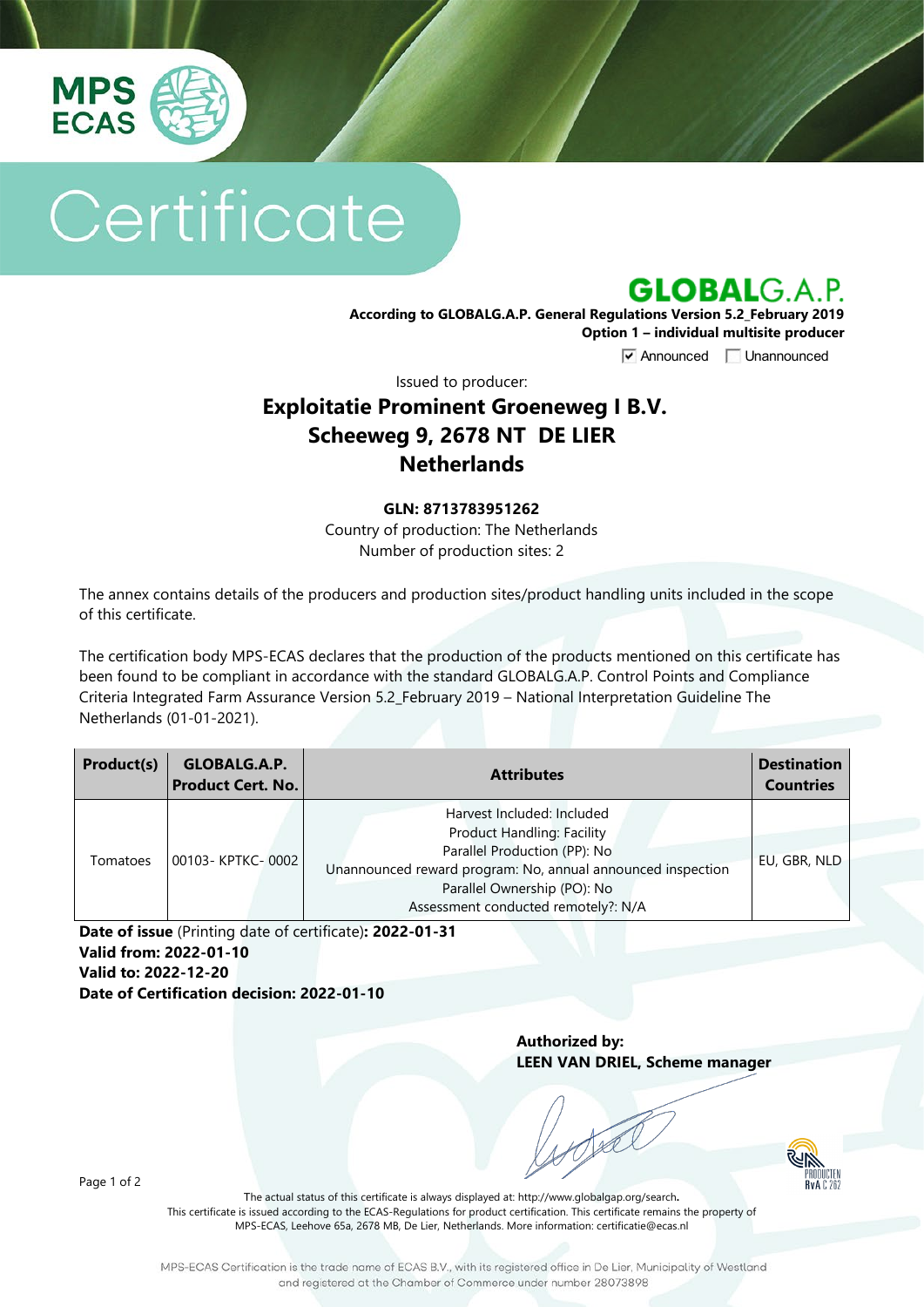

# Certificate



**According to GLOBALG.A.P. General Regulations Version 5.2\_February 2019 Option 1 – individual multisite producer**

**V** Announced **Unannounced** 

Issued to producer:

## **Exploitatie Prominent Groeneweg I B.V. Scheeweg 9, 2678 NT DE LIER Netherlands**

#### **GLN: 8713783951262**

Country of production: The Netherlands Number of production sites: 2

The annex contains details of the producers and production sites/product handling units included in the scope of this certificate.

The certification body MPS-ECAS declares that the production of the products mentioned on this certificate has been found to be compliant in accordance with the standard GLOBALG.A.P. Control Points and Compliance Criteria Integrated Farm Assurance Version 5.2\_February 2019 – National Interpretation Guideline The Netherlands (01-01-2021).

| Product(s) | GLOBALG.A.P.<br><b>Product Cert. No.</b> | <b>Attributes</b>                                                                                                                                                                                                                    | <b>Destination</b><br><b>Countries</b> |
|------------|------------------------------------------|--------------------------------------------------------------------------------------------------------------------------------------------------------------------------------------------------------------------------------------|----------------------------------------|
| Tomatoes   | 00103-KPTKC-0002                         | Harvest Included: Included<br><b>Product Handling: Facility</b><br>Parallel Production (PP): No<br>Unannounced reward program: No, annual announced inspection<br>Parallel Ownership (PO): No<br>Assessment conducted remotely?: N/A | EU, GBR, NLD                           |

**Date of issue** (Printing date of certificate)**: 2022-01-31 Valid from: 2022-01-10 Valid to: 2022-12-20 Date of Certification decision: 2022-01-10**

> **Authorized by: LEEN VAN DRIEL, Scheme manager**



Page 1 of 2

The actual status of this certificate is always displayed at: <http://www.globalgap.org/search>**.**  This certificate is issued according to the ECAS-Regulations for product certification. This certificate remains the property of MPS-ECAS, Leehove 65a, 2678 MB, De Lier, Netherlands. More information[: certificatie@ecas.nl](mailto:certificatie@ecas.nl)